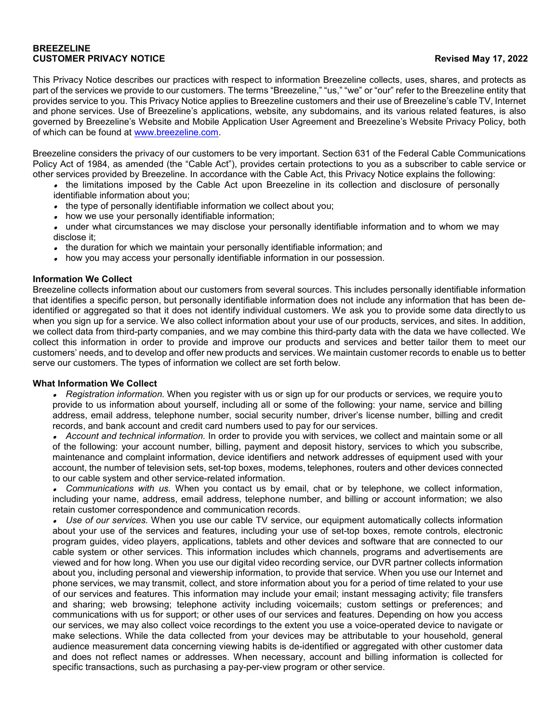# **BREEZELINE CUSTOMER PRIVACY NOTICE Revised May 17, 2022**

This Privacy Notice describes our practices with respect to information Breezeline collects, uses, shares, and protects as part of the services we provide to our customers. The terms "Breezeline," "us," "we" or "our" refer to the Breezeline entity that provides service to you. This Privacy Notice applies to Breezeline customers and their use of Breezeline's cable TV, Internet and phone services. Use of Breezeline's applications, website, any subdomains, and its various related features, is also governed by Breezeline's Website and Mobile Application User Agreement and Breezeline's Website Privacy Policy, both of which can be found at [www.breezeline.com.](http://www.atlanticbb.com/)

Breezeline considers the privacy of our customers to be very important. Section 631 of the Federal Cable Communications Policy Act of 1984, as amended (the "Cable Act"), provides certain protections to you as a subscriber to cable service or other services provided by Breezeline. In accordance with the Cable Act, this Privacy Notice explains the following:

- the limitations imposed by the Cable Act upon Breezeline in its collection and disclosure of personally identifiable information about you;
- the type of personally identifiable information we collect about you;
- how we use your personally identifiable information;
- under what circumstances we may disclose your personally identifiable information and to whom we may disclose it;
- the duration for which we maintain your personally identifiable information; and
- how you may access your personally identifiable information in our possession.

# **Information We Collect**

Breezeline collects information about our customers from several sources. This includes personally identifiable information that identifies a specific person, but personally identifiable information does not include any information that has been deidentified or aggregated so that it does not identify individual customers. We ask you to provide some data directlyto us when you sign up for a service. We also collect information about your use of our products, services, and sites. In addition, we collect data from third-party companies, and we may combine this third-party data with the data we have collected. We collect this information in order to provide and improve our products and services and better tailor them to meet our customers' needs, and to develop and offer new products and services. We maintain customer records to enable us to better serve our customers. The types of information we collect are set forth below.

### **What Information We Collect**

• *Registration information.* When you register with us or sign up for our products or services, we require youto provide to us information about yourself, including all or some of the following: your name, service and billing address, email address, telephone number, social security number, driver's license number, billing and credit records, and bank account and credit card numbers used to pay for our services.

• *Account and technical information.* In order to provide you with services, we collect and maintain some or all of the following: your account number, billing, payment and deposit history, services to which you subscribe, maintenance and complaint information, device identifiers and network addresses of equipment used with your account, the number of television sets, set-top boxes, modems, telephones, routers and other devices connected to our cable system and other service-related information.

• *Communications with us.* When you contact us by email, chat or by telephone, we collect information, including your name, address, email address, telephone number, and billing or account information; we also retain customer correspondence and communication records.

• *Use of our services.* When you use our cable TV service, our equipment automatically collects information about your use of the services and features, including your use of set-top boxes, remote controls, electronic program guides, video players, applications, tablets and other devices and software that are connected to our cable system or other services. This information includes which channels, programs and advertisements are viewed and for how long. When you use our digital video recording service, our DVR partner collects information about you, including personal and viewership information, to provide that service. When you use our Internet and phone services, we may transmit, collect, and store information about you for a period of time related to your use of our services and features. This information may include your email; instant messaging activity; file transfers and sharing; web browsing; telephone activity including voicemails; custom settings or preferences; and communications with us for support; or other uses of our services and features. Depending on how you access our services, we may also collect voice recordings to the extent you use a voice-operated device to navigate or make selections. While the data collected from your devices may be attributable to your household, general audience measurement data concerning viewing habits is de-identified or aggregated with other customer data and does not reflect names or addresses. When necessary, account and billing information is collected for specific transactions, such as purchasing a pay-per-view program or other service.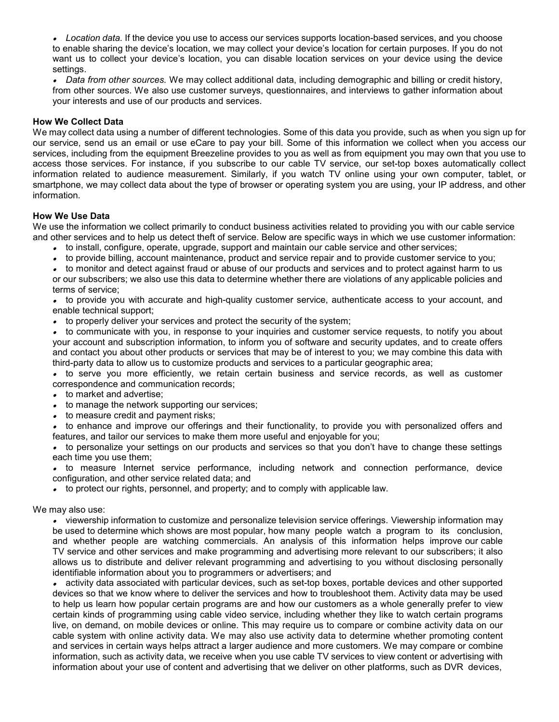• *Location data.* If the device you use to access our services supports location-based services, and you choose to enable sharing the device's location, we may collect your device's location for certain purposes. If you do not want us to collect your device's location, you can disable location services on your device using the device settings.

• *Data from other sources.* We may collect additional data, including demographic and billing or credit history, from other sources. We also use customer surveys, questionnaires, and interviews to gather information about your interests and use of our products and services.

### **How We Collect Data**

We may collect data using a number of different technologies. Some of this data you provide, such as when you sign up for our service, send us an email or use eCare to pay your bill. Some of this information we collect when you access our services, including from the equipment Breezeline provides to you as well as from equipment you may own that you use to access those services. For instance, if you subscribe to our cable TV service, our set-top boxes automatically collect information related to audience measurement. Similarly, if you watch TV online using your own computer, tablet, or smartphone, we may collect data about the type of browser or operating system you are using, your IP address, and other information.

# **How We Use Data**

We use the information we collect primarily to conduct business activities related to providing you with our cable service and other services and to help us detect theft of service. Below are specific ways in which we use customer information:

- to install, configure, operate, upgrade, support and maintain our cable service and other services;
- to provide billing, account maintenance, product and service repair and to provide customer service to you;

• to monitor and detect against fraud or abuse of our products and services and to protect against harm to us

or our subscribers; we also use this data to determine whether there are violations of any applicable policies and terms of service;

• to provide you with accurate and high-quality customer service, authenticate access to your account, and enable technical support;

•to properly deliver your services and protect the security of the system;

• to communicate with you, in response to your inquiries and customer service requests, to notify you about your account and subscription information, to inform you of software and security updates, and to create offers and contact you about other products or services that may be of interest to you; we may combine this data with third-party data to allow us to customize products and services to a particular geographic area;

• to serve you more efficiently, we retain certain business and service records, as well as customer correspondence and communication records;

- to market and advertise;
- to manage the network supporting our services;
- to measure credit and payment risks;

• to enhance and improve our offerings and their functionality, to provide you with personalized offers and features, and tailor our services to make them more useful and enjoyable for you;

• to personalize your settings on our products and services so that you don't have to change these settings each time you use them;

• to measure Internet service performance, including network and connection performance, device configuration, and other service related data; and

• to protect our rights, personnel, and property; and to comply with applicable law.

We may also use:

• viewership information to customize and personalize television service offerings. Viewership information may be used to determine which shows are most popular, how many people watch a program to its conclusion, and whether people are watching commercials. An analysis of this information helps improve our cable TV service and other services and make programming and advertising more relevant to our subscribers; it also allows us to distribute and deliver relevant programming and advertising to you without disclosing personally identifiable information about you to programmers or advertisers; and

• activity data associated with particular devices, such as set-top boxes, portable devices and other supported devices so that we know where to deliver the services and how to troubleshoot them. Activity data may be used to help us learn how popular certain programs are and how our customers as a whole generally prefer to view certain kinds of programming using cable video service, including whether they like to watch certain programs live, on demand, on mobile devices or online. This may require us to compare or combine activity data on our cable system with online activity data. We may also use activity data to determine whether promoting content and services in certain ways helps attract a larger audience and more customers. We may compare or combine information, such as activity data, we receive when you use cable TV services to view content or advertising with information about your use of content and advertising that we deliver on other platforms, such as DVR devices,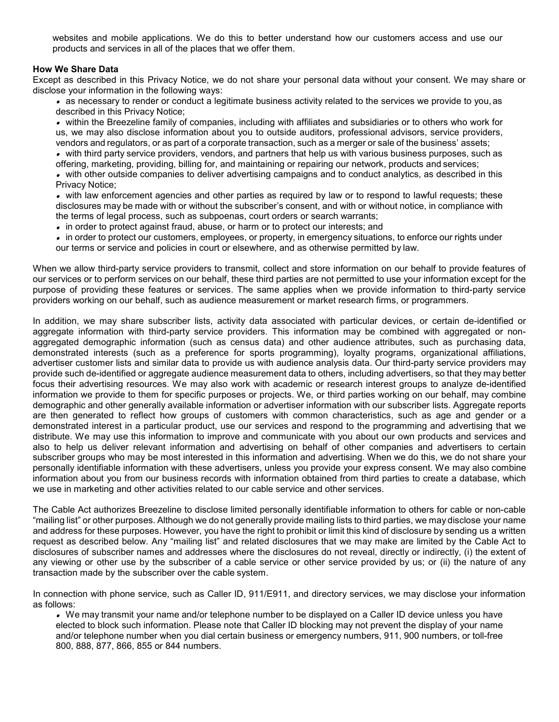websites and mobile applications. We do this to better understand how our customers access and use our products and services in all of the places that we offer them.

### **How We Share Data**

Except as described in this Privacy Notice, we do not share your personal data without your consent. We may share or disclose your information in the following ways:

• as necessary to render or conduct a legitimate business activity related to the services we provide to you, as described in this Privacy Notice;

• within the Breezeline family of companies, including with affiliates and subsidiaries or to others who work for us, we may also disclose information about you to outside auditors, professional advisors, service providers, vendors and regulators, or as part of a corporate transaction, such as a merger or sale of the business' assets;

• with third party service providers, vendors, and partners that help us with various business purposes, such as offering, marketing, providing, billing for, and maintaining or repairing our network, products and services;

• with other outside companies to deliver advertising campaigns and to conduct analytics, as described in this Privacy Notice;

• with law enforcement agencies and other parties as required by law or to respond to lawful requests; these disclosures may be made with or without the subscriber's consent, and with or without notice, in compliance with the terms of legal process, such as subpoenas, court orders or search warrants;

• in order to protect against fraud, abuse, or harm or to protect our interests; and

• in order to protect our customers, employees, or property, in emergency situations, to enforce our rights under our terms or service and policies in court or elsewhere, and as otherwise permitted by law.

When we allow third-party service providers to transmit, collect and store information on our behalf to provide features of our services or to perform services on our behalf, these third parties are not permitted to use your information except for the purpose of providing these features or services. The same applies when we provide information to third-party service providers working on our behalf, such as audience measurement or market research firms, or programmers.

In addition, we may share subscriber lists, activity data associated with particular devices, or certain de-identified or aggregate information with third-party service providers. This information may be combined with aggregated or nonaggregated demographic information (such as census data) and other audience attributes, such as purchasing data, demonstrated interests (such as a preference for sports programming), loyalty programs, organizational affiliations, advertiser customer lists and similar data to provide us with audience analysis data. Our third-party service providers may provide such de-identified or aggregate audience measurement data to others, including advertisers, so that they may better focus their advertising resources. We may also work with academic or research interest groups to analyze de-identified information we provide to them for specific purposes or projects. We, or third parties working on our behalf, may combine demographic and other generally available information or advertiser information with our subscriber lists. Aggregate reports are then generated to reflect how groups of customers with common characteristics, such as age and gender or a demonstrated interest in a particular product, use our services and respond to the programming and advertising that we distribute. We may use this information to improve and communicate with you about our own products and services and also to help us deliver relevant information and advertising on behalf of other companies and advertisers to certain subscriber groups who may be most interested in this information and advertising. When we do this, we do not share your personally identifiable information with these advertisers, unless you provide your express consent. We may also combine information about you from our business records with information obtained from third parties to create a database, which we use in marketing and other activities related to our cable service and other services.

The Cable Act authorizes Breezeline to disclose limited personally identifiable information to others for cable or non-cable "mailing list" or other purposes. Although we do not generally provide mailing lists to third parties, we may disclose your name and address for these purposes. However, you have the right to prohibit or limit this kind of disclosure by sending us a written request as described below. Any "mailing list" and related disclosures that we may make are limited by the Cable Act to disclosures of subscriber names and addresses where the disclosures do not reveal, directly or indirectly, (i) the extent of any viewing or other use by the subscriber of a cable service or other service provided by us; or (ii) the nature of any transaction made by the subscriber over the cable system.

In connection with phone service, such as Caller ID, 911/E911, and directory services, we may disclose your information as follows:

• We may transmit your name and/or telephone number to be displayed on a Caller ID device unless you have elected to block such information. Please note that Caller ID blocking may not prevent the display of your name and/or telephone number when you dial certain business or emergency numbers, 911, 900 numbers, or toll-free 800, 888, 877, 866, 855 or 844 numbers.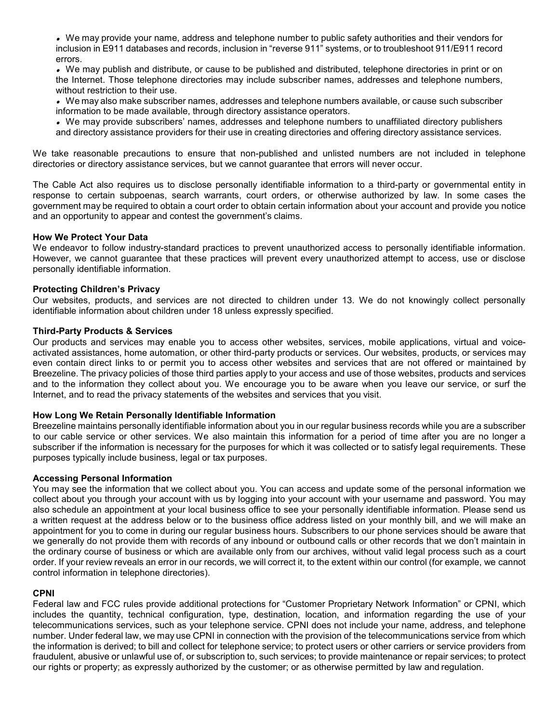• We may provide your name, address and telephone number to public safety authorities and their vendors for inclusion in E911 databases and records, inclusion in "reverse 911" systems, or to troubleshoot 911/E911 record errors.

• We may publish and distribute, or cause to be published and distributed, telephone directories in print or on the Internet. Those telephone directories may include subscriber names, addresses and telephone numbers, without restriction to their use.

• We may also make subscriber names, addresses and telephone numbers available, or cause such subscriber information to be made available, through directory assistance operators.

• We may provide subscribers' names, addresses and telephone numbers to unaffiliated directory publishers and directory assistance providers for their use in creating directories and offering directory assistance services.

We take reasonable precautions to ensure that non-published and unlisted numbers are not included in telephone directories or directory assistance services, but we cannot guarantee that errors will never occur.

The Cable Act also requires us to disclose personally identifiable information to a third-party or governmental entity in response to certain subpoenas, search warrants, court orders, or otherwise authorized by law. In some cases the government may be required to obtain a court order to obtain certain information about your account and provide you notice and an opportunity to appear and contest the government's claims.

### **How We Protect Your Data**

We endeavor to follow industry-standard practices to prevent unauthorized access to personally identifiable information. However, we cannot guarantee that these practices will prevent every unauthorized attempt to access, use or disclose personally identifiable information.

### **Protecting Children's Privacy**

Our websites, products, and services are not directed to children under 13. We do not knowingly collect personally identifiable information about children under 18 unless expressly specified.

#### **Third-Party Products & Services**

Our products and services may enable you to access other websites, services, mobile applications, virtual and voiceactivated assistances, home automation, or other third-party products or services. Our websites, products, or services may even contain direct links to or permit you to access other websites and services that are not offered or maintained by Breezeline. The privacy policies of those third parties apply to your access and use of those websites, products and services and to the information they collect about you. We encourage you to be aware when you leave our service, or surf the Internet, and to read the privacy statements of the websites and services that you visit.

### **How Long We Retain Personally Identifiable Information**

Breezeline maintains personally identifiable information about you in our regular business records while you are a subscriber to our cable service or other services. We also maintain this information for a period of time after you are no longer a subscriber if the information is necessary for the purposes for which it was collected or to satisfy legal requirements. These purposes typically include business, legal or tax purposes.

### **Accessing Personal Information**

You may see the information that we collect about you. You can access and update some of the personal information we collect about you through your account with us by logging into your account with your username and password. You may also schedule an appointment at your local business office to see your personally identifiable information. Please send us a written request at the address below or to the business office address listed on your monthly bill, and we will make an appointment for you to come in during our regular business hours. Subscribers to our phone services should be aware that we generally do not provide them with records of any inbound or outbound calls or other records that we don't maintain in the ordinary course of business or which are available only from our archives, without valid legal process such as a court order. If your review reveals an error in our records, we will correct it, to the extent within our control (for example, we cannot control information in telephone directories).

### **CPNI**

Federal law and FCC rules provide additional protections for "Customer Proprietary Network Information" or CPNI, which includes the quantity, technical configuration, type, destination, location, and information regarding the use of your telecommunications services, such as your telephone service. CPNI does not include your name, address, and telephone number. Under federal law, we may use CPNI in connection with the provision of the telecommunications service from which the information is derived; to bill and collect for telephone service; to protect users or other carriers or service providers from fraudulent, abusive or unlawful use of, or subscription to, such services; to provide maintenance or repair services; to protect our rights or property; as expressly authorized by the customer; or as otherwise permitted by law and regulation.